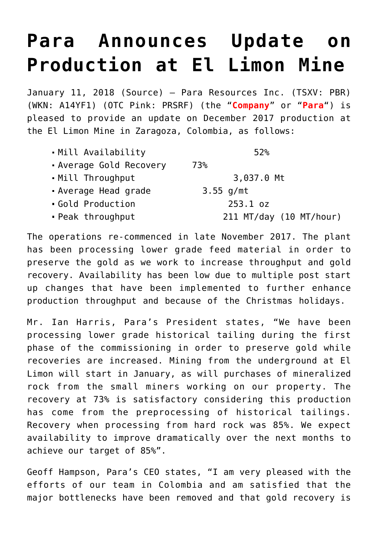## **[Para Announces Update on](https://investorintel.com/markets/gold-silver-base-metals/gold-precious-metals-news/para-announces-update-production-el-limon-mine/) [Production at El Limon Mine](https://investorintel.com/markets/gold-silver-base-metals/gold-precious-metals-news/para-announces-update-production-el-limon-mine/)**

January 11, 2018 ([Source\)](https://investorintel.com/iintel-members/para-resources-inc/) — Para Resources Inc. (TSXV: PBR) (WKN: A14YF1) (OTC Pink: PRSRF) (the "**Company**" or "**Para**") is pleased to provide an update on December 2017 production at the El Limon Mine in Zaragoza, Colombia, as follows:

The operations re-commenced in late November 2017. The plant has been processing lower grade feed material in order to preserve the gold as we work to increase throughput and gold recovery. Availability has been low due to multiple post start up changes that have been implemented to further enhance production throughput and because of the Christmas holidays.

Mr. Ian Harris, Para's President states, "We have been processing lower grade historical tailing during the first phase of the commissioning in order to preserve gold while recoveries are increased. Mining from the underground at El Limon will start in January, as will purchases of mineralized rock from the small miners working on our property. The recovery at 73% is satisfactory considering this production has come from the preprocessing of historical tailings. Recovery when processing from hard rock was 85%. We expect availability to improve dramatically over the next months to achieve our target of 85%".

Geoff Hampson, Para's CEO states, "I am very pleased with the efforts of our team in Colombia and am satisfied that the major bottlenecks have been removed and that gold recovery is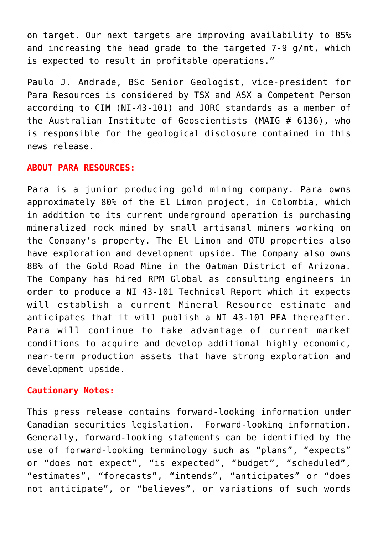on target. Our next targets are improving availability to 85% and increasing the head grade to the targeted 7-9 g/mt, which is expected to result in profitable operations."

Paulo J. Andrade, BSc Senior Geologist, vice-president for Para Resources is considered by TSX and ASX a Competent Person according to CIM (NI-43-101) and JORC standards as a member of the Australian Institute of Geoscientists (MAIG # 6136), who is responsible for the geological disclosure contained in this news release.

## **ABOUT PARA RESOURCES:**

Para is a junior producing gold mining company. Para owns approximately 80% of the El Limon project, in Colombia, which in addition to its current underground operation is purchasing mineralized rock mined by small artisanal miners working on the Company's property. The El Limon and OTU properties also have exploration and development upside. The Company also owns 88% of the Gold Road Mine in the Oatman District of Arizona. The Company has hired RPM Global as consulting engineers in order to produce a NI 43-101 Technical Report which it expects will establish a current Mineral Resource estimate and anticipates that it will publish a NI 43-101 PEA thereafter. Para will continue to take advantage of current market conditions to acquire and develop additional highly economic, near-term production assets that have strong exploration and development upside.

## **Cautionary Notes:**

This press release contains forward-looking information under Canadian securities legislation. Forward-looking information. Generally, forward-looking statements can be identified by the use of forward-looking terminology such as "plans", "expects" or "does not expect", "is expected", "budget", "scheduled", "estimates", "forecasts", "intends", "anticipates" or "does not anticipate", or "believes", or variations of such words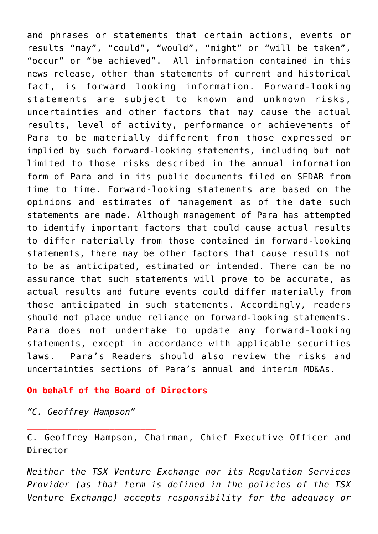and phrases or statements that certain actions, events or results "may", "could", "would", "might" or "will be taken", "occur" or "be achieved". All information contained in this news release, other than statements of current and historical fact, is forward looking information. Forward-looking statements are subject to known and unknown risks, uncertainties and other factors that may cause the actual results, level of activity, performance or achievements of Para to be materially different from those expressed or implied by such forward-looking statements, including but not limited to those risks described in the annual information form of Para and in its public documents filed on SEDAR from time to time. Forward-looking statements are based on the opinions and estimates of management as of the date such statements are made. Although management of Para has attempted to identify important factors that could cause actual results to differ materially from those contained in forward-looking statements, there may be other factors that cause results not to be as anticipated, estimated or intended. There can be no assurance that such statements will prove to be accurate, as actual results and future events could differ materially from those anticipated in such statements. Accordingly, readers should not place undue reliance on forward-looking statements. Para does not undertake to update any forward-looking statements, except in accordance with applicable securities laws. Para's Readers should also review the risks and uncertainties sections of Para's annual and interim MD&As.

## **On behalf of the Board of Directors**

*"C. Geoffrey Hampson"*

**\_\_\_\_\_\_\_\_\_\_\_\_\_\_\_\_\_\_\_\_\_\_\_\_\_** 

C. Geoffrey Hampson, Chairman, Chief Executive Officer and Director

*Neither the TSX Venture Exchange nor its Regulation Services Provider (as that term is defined in the policies of the TSX Venture Exchange) accepts responsibility for the adequacy or*